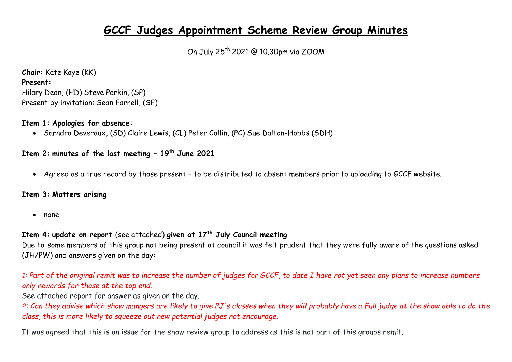# **GCCF Judges Appointment Scheme Review Group Minutes**

On July 25th 2021 @ 10.30pm via ZOOM

**Chair:** Kate Kaye (KK) **Present:**  Hilary Dean, (HD) Steve Parkin, (SP) Present by invitation: Sean Farrell, (SF)

### **Item 1: Apologies for absence:**

Sarndra Deveraux, (SD) Claire Lewis, (CL) Peter Collin, (PC) Sue Dalton-Hobbs (SDH)

# **Item 2: minutes of the last meeting – 19th June 2021**

Agreed as a true record by those present – to be distributed to absent members prior to uploading to GCCF website.

## **Item 3: Matters arising**

• none

# **Item 4: update on report** (see attached) **given at 17th July Council meeting**

Due to some members of this group not being present at council it was felt prudent that they were fully aware of the questions asked (JH/PW) and answers given on the day:

# *1: Part of the original remit was to increase the number of judges for GCCF, to date I have not yet seen any plans to increase numbers only rewards for those at the top end.*

See attached report for answer as given on the day.

*2: Can they advise which show mangers are likely to give PJ's classes when they will probably have a Full judge at the show able to do the class, this is more likely to squeeze out new potential judges not encourage.*

It was agreed that this is an issue for the show review group to address as this is not part of this groups remit.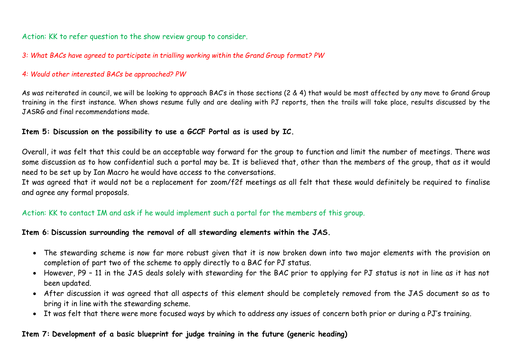Action: KK to refer question to the show review group to consider.

*3: What BACs have agreed to participate in trialling working within the Grand Group format? PW*

#### *4: Would other interested BACs be approached? PW*

As was reiterated in council, we will be looking to approach BAC's in those sections (2 & 4) that would be most affected by any move to Grand Group training in the first instance. When shows resume fully and are dealing with PJ reports, then the trails will take place, results discussed by the JASRG and final recommendations made.

#### **Item 5: Discussion on the possibility to use a GCCF Portal as is used by IC.**

Overall, it was felt that this could be an acceptable way forward for the group to function and limit the number of meetings. There was some discussion as to how confidential such a portal may be. It is believed that, other than the members of the group, that as it would need to be set up by Ian Macro he would have access to the conversations.

It was agreed that it would not be a replacement for zoom/f2f meetings as all felt that these would definitely be required to finalise and agree any formal proposals.

# Action: KK to contact IM and ask if he would implement such a portal for the members of this group.

## **Item 6**: **Discussion surrounding the removal of all stewarding elements within the JAS.**

- The stewarding scheme is now far more robust given that it is now broken down into two major elements with the provision on completion of part two of the scheme to apply directly to a BAC for PJ status.
- However, P9 11 in the JAS deals solely with stewarding for the BAC prior to applying for PJ status is not in line as it has not been updated.
- After discussion it was agreed that all aspects of this element should be completely removed from the JAS document so as to bring it in line with the stewarding scheme.
- It was felt that there were more focused ways by which to address any issues of concern both prior or during a PJ's training.

# **Item 7: Development of a basic blueprint for judge training in the future (generic heading)**